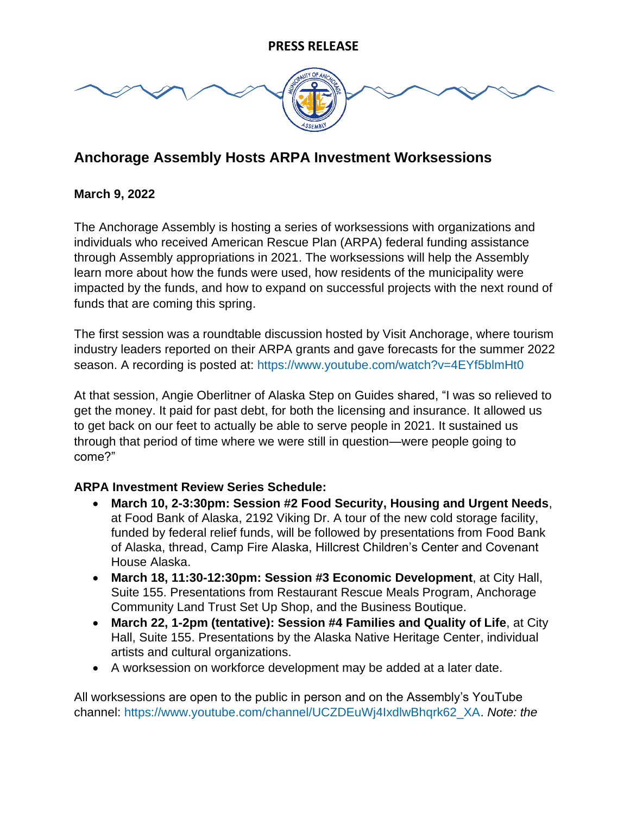

# **Anchorage Assembly Hosts ARPA Investment Worksessions**

#### **March 9, 2022**

The Anchorage Assembly is hosting a series of worksessions with organizations and individuals who received American Rescue Plan (ARPA) federal funding assistance through Assembly appropriations in 2021. The worksessions will help the Assembly learn more about how the funds were used, how residents of the municipality were impacted by the funds, and how to expand on successful projects with the next round of funds that are coming this spring.

The first session was a roundtable discussion hosted by Visit Anchorage, where tourism industry leaders reported on their ARPA grants and gave forecasts for the summer 2022 season. A recording is posted at: <https://www.youtube.com/watch?v=4EYf5blmHt0>

At that session, Angie Oberlitner of Alaska Step on Guides shared, "I was so relieved to get the money. It paid for past debt, for both the licensing and insurance. It allowed us to get back on our feet to actually be able to serve people in 2021. It sustained us through that period of time where we were still in question—were people going to come?"

#### **ARPA Investment Review Series Schedule:**

- **March 10, 2-3:30pm: Session #2 Food Security, Housing and Urgent Needs**, at Food Bank of Alaska, 2192 Viking Dr. A tour of the new cold storage facility, funded by federal relief funds, will be followed by presentations from Food Bank of Alaska, thread, Camp Fire Alaska, Hillcrest Children's Center and Covenant House Alaska.
- **March 18, 11:30-12:30pm: Session #3 Economic Development**, at City Hall, Suite 155. Presentations from Restaurant Rescue Meals Program, Anchorage Community Land Trust Set Up Shop, and the Business Boutique.
- **March 22, 1-2pm (tentative): Session #4 Families and Quality of Life**, at City Hall, Suite 155. Presentations by the Alaska Native Heritage Center, individual artists and cultural organizations.
- A worksession on workforce development may be added at a later date.

All worksessions are open to the public in person and on the Assembly's YouTube channel: [https://www.youtube.com/channel/UCZDEuWj4IxdlwBhqrk62\\_XA.](https://www.youtube.com/channel/UCZDEuWj4IxdlwBhqrk62_XA) *Note: the*